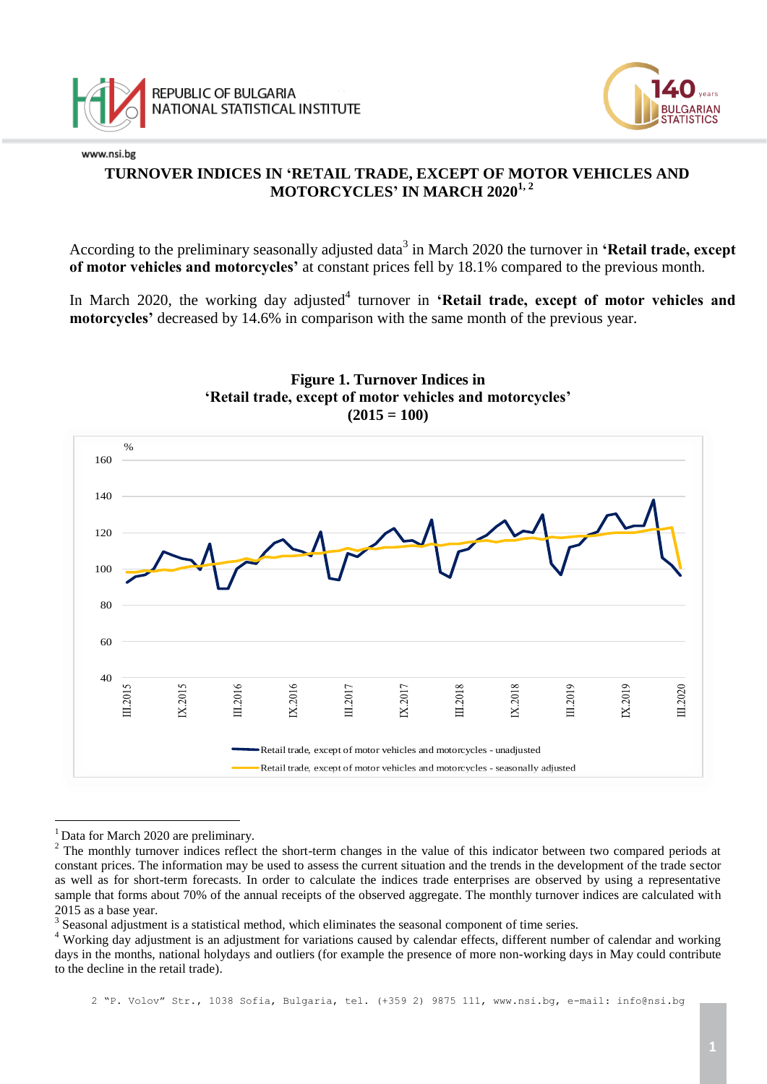



# **TURNOVER INDICES IN 'RETAIL TRADE, EXCEPT OF MOTOR VEHICLES AND MOTORCYCLES' IN MARCH 20201, 2**

According to the preliminary seasonally adjusted data<sup>3</sup> in March 2020 the turnover in **'Retail trade, except of motor vehicles and motorcycles'** at constant prices fell by 18.1% compared to the previous month.

In March 2020, the working day adjusted<sup>4</sup> turnover in 'Retail trade, except of motor vehicles and **motorcycles'** decreased by 14.6% in comparison with the same month of the previous year.



**Figure 1. Turnover Indices in 'Retail trade, except of motor vehicles and motorcycles'**  $(2015 = 100)$ 

a<br>B

2 "P. Volov" Str., 1038 Sofia, Bulgaria, tel. (+359 2) 9875 111, [www.nsi.bg,](http://www.nsi.bg/) e-mail: info@nsi.bg

<sup>&</sup>lt;sup>1</sup> Data for March 2020 are preliminary.

 $2^2$  The monthly turnover indices reflect the short-term changes in the value of this indicator between two compared periods at constant prices. The information may be used to assess the current situation and the trends in the development of the trade sector as well as for short-term forecasts. In order to calculate the indices trade enterprises are observed by using a representative sample that forms about 70% of the annual receipts of the observed aggregate. The monthly turnover indices are calculated with 2015 as a base year.

 $3$  Seasonal adjustment is a statistical method, which eliminates the seasonal component of time series.

<sup>&</sup>lt;sup>4</sup> Working day adjustment is an adjustment for variations caused by calendar effects, different number of calendar and working days in the months, national holydays and outliers (for example the presence of more non-working days in May could contribute to the decline in the retail trade).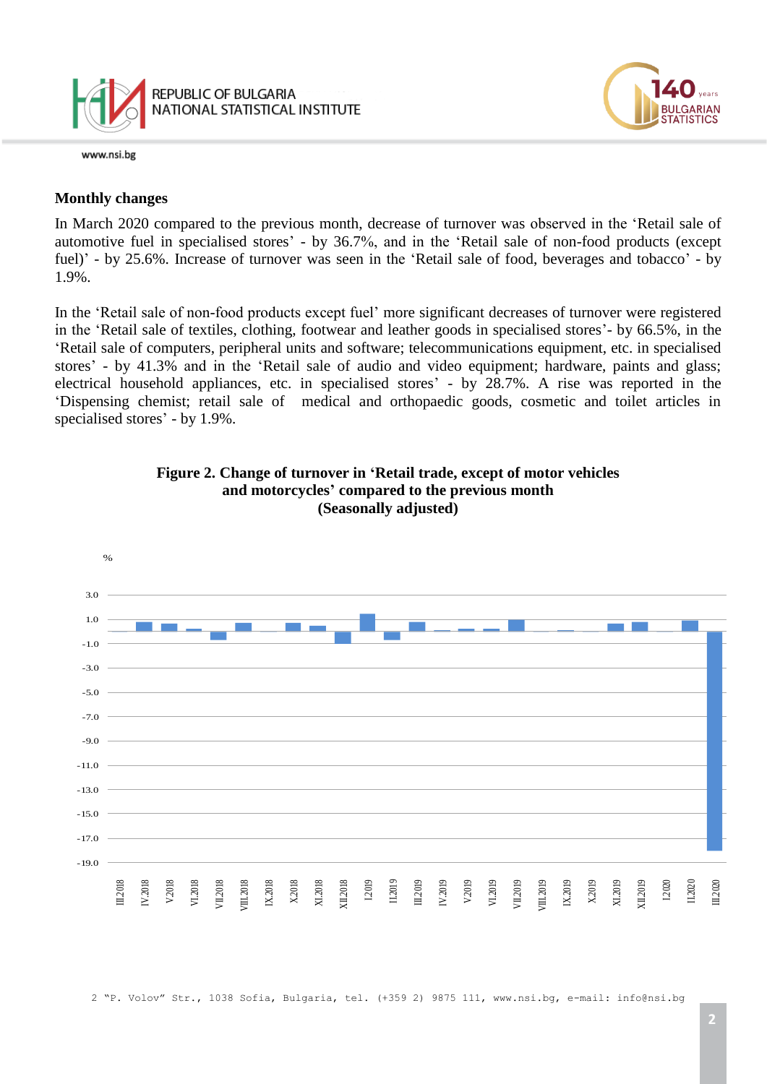



#### **Monthly changes**

In March 2020 compared to the previous month, decrease of turnover was observed in the 'Retail sale of automotive fuel in specialised stores' - by 36.7%, and in the 'Retail sale of non-food products (except fuel)' - by 25.6%. Increase of turnover was seen in the 'Retail sale of food, beverages and tobacco' - by 1.9%.

In the 'Retail sale of non-food products except fuel' more significant decreases of turnover were registered in the 'Retail sale of textiles, clothing, footwear and leather goods in specialised stores'- by 66.5%, in the 'Retail sale of computers, peripheral units and software; telecommunications equipment, etc. in specialised stores' - by 41.3% and in the 'Retail sale of audio and video equipment; hardware, paints and glass; electrical household appliances, etc. in specialised stores' - by 28.7%. A rise was reported in the 'Dispensing chemist; retail sale of medical and orthopaedic goods, cosmetic and toilet articles in specialised stores' - by 1.9%.



**Figure 2. Change of turnover in 'Retail trade, except of motor vehicles and motorcycles' compared to the previous month (Seasonally adjusted)**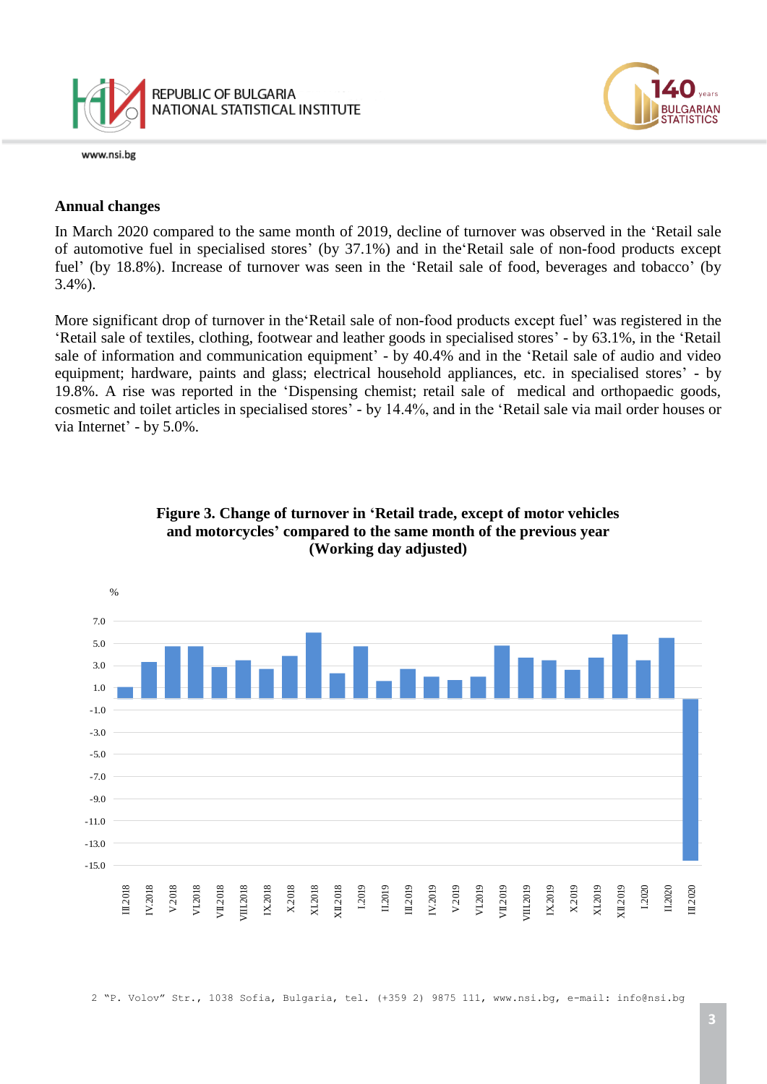



#### **Annual changes**

In March 2020 compared to the same month of 2019, decline of turnover was observed in the 'Retail sale of automotive fuel in specialised stores' (by 37.1%) and in the'Retail sale of non-food products except fuel' (by 18.8%). Increase of turnover was seen in the 'Retail sale of food, beverages and tobacco' (by 3.4%).

More significant drop of turnover in the'Retail sale of non-food products except fuel' was registered in the 'Retail sale of textiles, clothing, footwear and leather goods in specialised stores' - by 63.1%, in the 'Retail sale of information and communication equipment' - by 40.4% and in the 'Retail sale of audio and video equipment; hardware, paints and glass; electrical household appliances, etc. in specialised stores' - by 19.8%. A rise was reported in the 'Dispensing chemist; retail sale of medical and orthopaedic goods, cosmetic and toilet articles in specialised stores' - by 14.4%, and in the 'Retail sale via mail order houses or via Internet' - by 5.0%.



### **Figure 3. Change of turnover in 'Retail trade, except of motor vehicles and motorcycles' compared to the same month of the previous year (Working day adjusted)**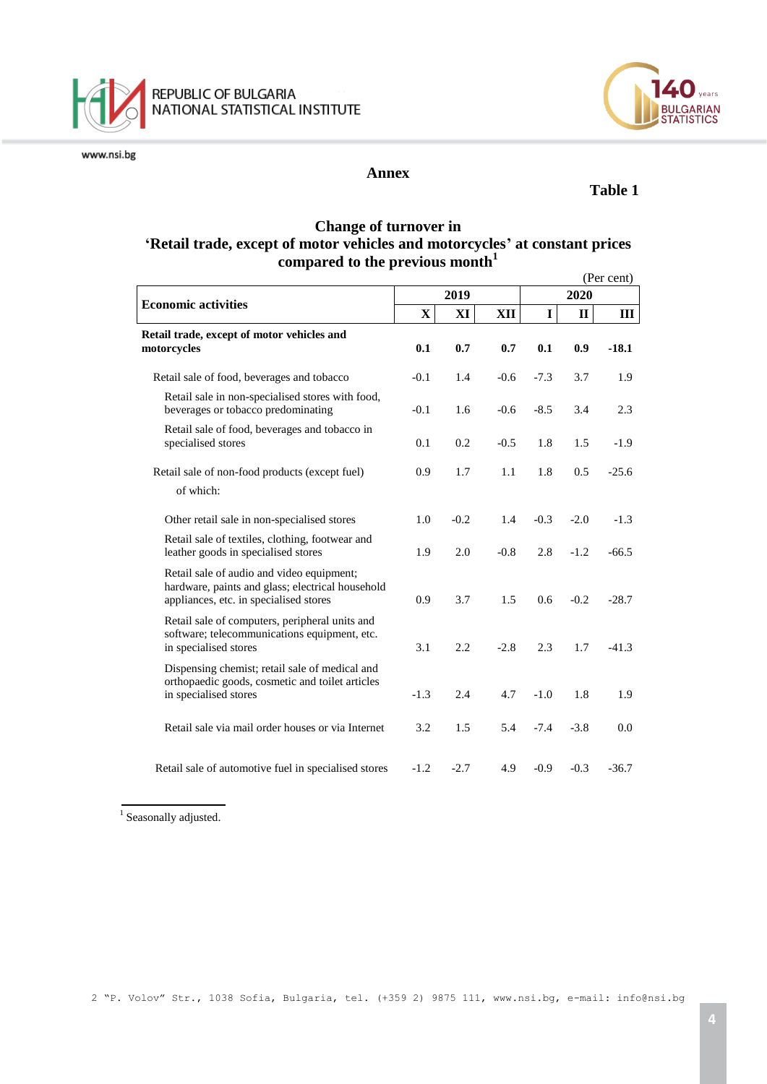



#### **Annex**

### **Table 1**

LGARIAN<br>ATISTICS

#### **Change of turnover in 'Retail trade, except of motor vehicles and motorcycles' at constant prices compared to the previous month<sup>1</sup>**

|                                                                                                                                         |        |        |        |             |             | (Per cent) |  |  |
|-----------------------------------------------------------------------------------------------------------------------------------------|--------|--------|--------|-------------|-------------|------------|--|--|
| <b>Economic activities</b>                                                                                                              |        | 2019   |        | 2020        |             |            |  |  |
|                                                                                                                                         | X      | XI     | XII    | $\mathbf I$ | $\mathbf H$ | Ш          |  |  |
| Retail trade, except of motor vehicles and<br>motorcycles                                                                               | 0.1    | 0.7    | 0.7    | 0.1         | 0.9         | $-18.1$    |  |  |
| Retail sale of food, beverages and tobacco                                                                                              | $-0.1$ | 1.4    | $-0.6$ | $-7.3$      | 3.7         | 1.9        |  |  |
| Retail sale in non-specialised stores with food,<br>beverages or tobacco predominating                                                  | $-0.1$ | 1.6    | $-0.6$ | $-8.5$      | 3.4         | 2.3        |  |  |
| Retail sale of food, beverages and tobacco in<br>specialised stores                                                                     | 0.1    | 0.2    | $-0.5$ | 1.8         | 1.5         | $-1.9$     |  |  |
| Retail sale of non-food products (except fuel)<br>of which:                                                                             | 0.9    | 1.7    | 1.1    | 1.8         | 0.5         | $-25.6$    |  |  |
| Other retail sale in non-specialised stores                                                                                             | 1.0    | $-0.2$ | 1.4    | $-0.3$      | $-2.0$      | $-1.3$     |  |  |
| Retail sale of textiles, clothing, footwear and<br>leather goods in specialised stores                                                  | 1.9    | 2.0    | $-0.8$ | 2.8         | $-1.2$      | $-66.5$    |  |  |
| Retail sale of audio and video equipment;<br>hardware, paints and glass; electrical household<br>appliances, etc. in specialised stores | 0.9    | 3.7    | 1.5    | 0.6         | $-0.2$      | $-28.7$    |  |  |
| Retail sale of computers, peripheral units and<br>software; telecommunications equipment, etc.<br>in specialised stores                 | 3.1    | 2.2    | $-2.8$ | 2.3         | 1.7         | $-41.3$    |  |  |
| Dispensing chemist; retail sale of medical and<br>orthopaedic goods, cosmetic and toilet articles<br>in specialised stores              | $-1.3$ | 2.4    | 4.7    | $-1.0$      | 1.8         | 1.9        |  |  |
| Retail sale via mail order houses or via Internet                                                                                       | 3.2    | 1.5    | 5.4    | $-7.4$      | $-3.8$      | 0.0        |  |  |
| Retail sale of automotive fuel in specialised stores                                                                                    | $-1.2$ | $-2.7$ | 4.9    | $-0.9$      | $-0.3$      | $-36.7$    |  |  |

<sup>1</sup> Seasonally adjusted.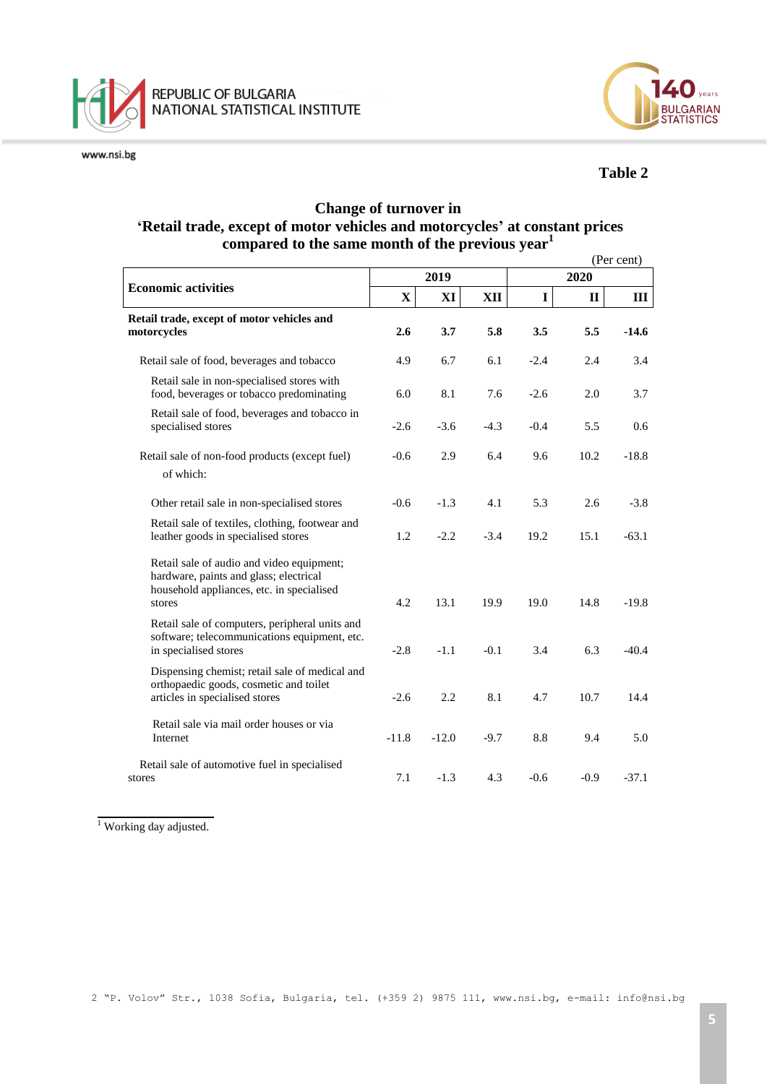



# **Table 2**

# **Change of turnover in 'Retail trade, except of motor vehicles and motorcycles' at constant prices compared to the same month of the previous year<sup>1</sup>**

|                                                                                                                                            |             |         |        |             |              | (Per cent) |  |  |
|--------------------------------------------------------------------------------------------------------------------------------------------|-------------|---------|--------|-------------|--------------|------------|--|--|
| <b>Economic activities</b>                                                                                                                 |             | 2019    |        | 2020        |              |            |  |  |
|                                                                                                                                            | $\mathbf X$ | XI      | XII    | $\mathbf I$ | $\mathbf{I}$ | Ш          |  |  |
| Retail trade, except of motor vehicles and<br>motorcycles                                                                                  | 2.6         | 3.7     | 5.8    | 3.5         | 5.5          | $-14.6$    |  |  |
| Retail sale of food, beverages and tobacco                                                                                                 | 4.9         | 6.7     | 6.1    | $-2.4$      | 2.4          | 3.4        |  |  |
| Retail sale in non-specialised stores with<br>food, beverages or tobacco predominating                                                     | 6.0         | 8.1     | 7.6    | $-2.6$      | 2.0          | 3.7        |  |  |
| Retail sale of food, beverages and tobacco in<br>specialised stores                                                                        | $-2.6$      | $-3.6$  | $-4.3$ | $-0.4$      | 5.5          | 0.6        |  |  |
| Retail sale of non-food products (except fuel)<br>of which:                                                                                | $-0.6$      | 2.9     | 6.4    | 9.6         | 10.2         | $-18.8$    |  |  |
| Other retail sale in non-specialised stores                                                                                                | $-0.6$      | $-1.3$  | 4.1    | 5.3         | 2.6          | $-3.8$     |  |  |
| Retail sale of textiles, clothing, footwear and<br>leather goods in specialised stores                                                     | 1.2         | $-2.2$  | $-3.4$ | 19.2        | 15.1         | $-63.1$    |  |  |
| Retail sale of audio and video equipment;<br>hardware, paints and glass; electrical<br>household appliances, etc. in specialised<br>stores | 4.2         | 13.1    | 19.9   | 19.0        | 14.8         | $-19.8$    |  |  |
| Retail sale of computers, peripheral units and<br>software; telecommunications equipment, etc.<br>in specialised stores                    | $-2.8$      | $-1.1$  | $-0.1$ | 3.4         | 6.3          | $-40.4$    |  |  |
| Dispensing chemist; retail sale of medical and<br>orthopaedic goods, cosmetic and toilet<br>articles in specialised stores                 | $-2.6$      | 2.2     | 8.1    | 4.7         | 10.7         | 14.4       |  |  |
| Retail sale via mail order houses or via<br>Internet                                                                                       | $-11.8$     | $-12.0$ | $-9.7$ | 8.8         | 9.4          | 5.0        |  |  |
| Retail sale of automotive fuel in specialised<br>stores                                                                                    | 7.1         | $-1.3$  | 4.3    | $-0.6$      | $-0.9$       | $-37.1$    |  |  |

<sup>1</sup> Working day adjusted.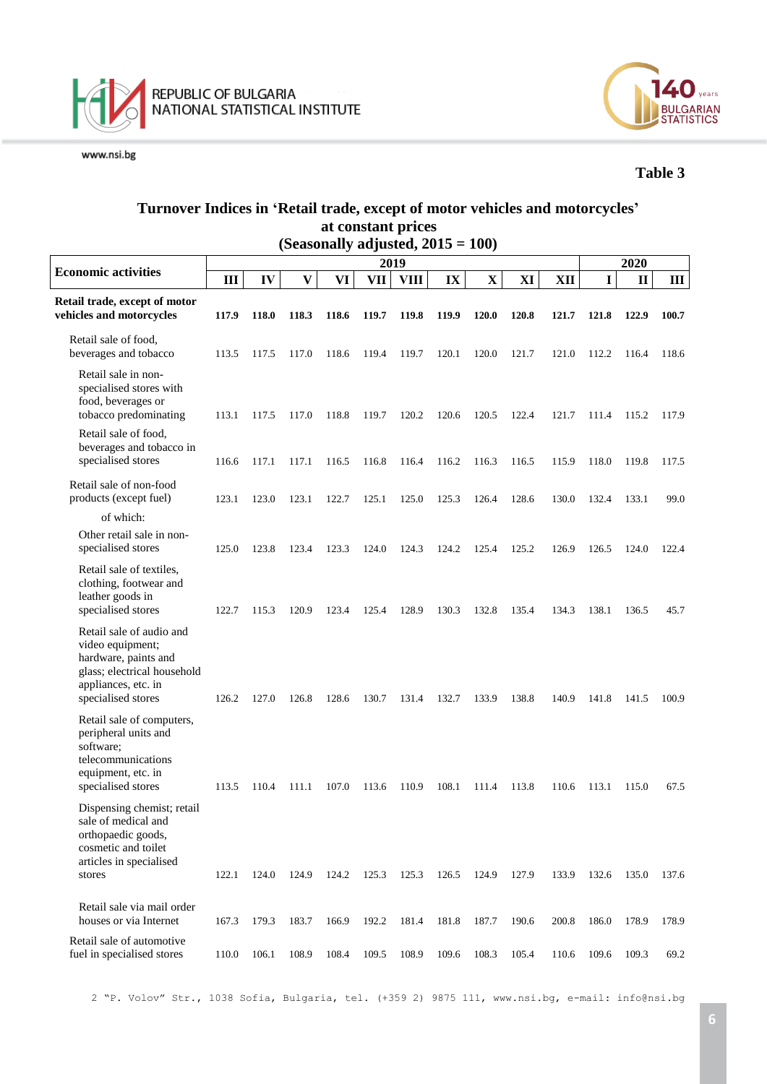



### **Table 3**

# **Turnover Indices in 'Retail trade, except of motor vehicles and motorcycles' at constant prices**

|                                                                                                                                                  |       |       |                         |       |       | (Seasonally adjusted, $2015 = 100$ ) |       |              |       |       |             |              |       |
|--------------------------------------------------------------------------------------------------------------------------------------------------|-------|-------|-------------------------|-------|-------|--------------------------------------|-------|--------------|-------|-------|-------------|--------------|-------|
| <b>Economic activities</b>                                                                                                                       |       |       | 2020                    |       |       |                                      |       |              |       |       |             |              |       |
|                                                                                                                                                  | III   | IV    | $\overline{\mathbf{V}}$ | VI    | VII   | <b>VIII</b>                          | IX    | $\mathbf X$  | XI    | XII   | $\mathbf I$ | $\mathbf{I}$ | III   |
| Retail trade, except of motor<br>vehicles and motorcycles                                                                                        | 117.9 | 118.0 | 118.3                   | 118.6 | 119.7 | 119.8                                | 119.9 | <b>120.0</b> | 120.8 | 121.7 | 121.8       | 122.9        | 100.7 |
| Retail sale of food,<br>beverages and tobacco                                                                                                    | 113.5 | 117.5 | 117.0                   | 118.6 | 119.4 | 119.7                                | 120.1 | 120.0        | 121.7 | 121.0 | 112.2       | 116.4        | 118.6 |
| Retail sale in non-<br>specialised stores with<br>food, beverages or<br>tobacco predominating                                                    | 113.1 | 117.5 | 117.0                   | 118.8 | 119.7 | 120.2                                | 120.6 | 120.5        | 122.4 | 121.7 | 111.4       | 115.2        | 117.9 |
| Retail sale of food,<br>beverages and tobacco in<br>specialised stores                                                                           | 116.6 | 117.1 | 117.1                   | 116.5 | 116.8 | 116.4                                | 116.2 | 116.3        | 116.5 | 115.9 | 118.0       | 119.8        | 117.5 |
| Retail sale of non-food<br>products (except fuel)                                                                                                | 123.1 | 123.0 | 123.1                   | 122.7 | 125.1 | 125.0                                | 125.3 | 126.4        | 128.6 | 130.0 | 132.4       | 133.1        | 99.0  |
| of which:<br>Other retail sale in non-<br>specialised stores                                                                                     | 125.0 | 123.8 | 123.4                   | 123.3 | 124.0 | 124.3                                | 124.2 | 125.4        | 125.2 | 126.9 | 126.5       | 124.0        | 122.4 |
| Retail sale of textiles,<br>clothing, footwear and<br>leather goods in<br>specialised stores                                                     | 122.7 | 115.3 | 120.9                   | 123.4 | 125.4 | 128.9                                | 130.3 | 132.8        | 135.4 | 134.3 | 138.1       | 136.5        | 45.7  |
| Retail sale of audio and<br>video equipment;<br>hardware, paints and<br>glass; electrical household<br>appliances, etc. in<br>specialised stores | 126.2 | 127.0 | 126.8                   | 128.6 | 130.7 | 131.4                                | 132.7 | 133.9        | 138.8 | 140.9 | 141.8       | 141.5        | 100.9 |
| Retail sale of computers,<br>peripheral units and<br>software;<br>telecommunications<br>equipment, etc. in<br>specialised stores                 | 113.5 | 110.4 | 111.1                   | 107.0 | 113.6 | 110.9                                | 108.1 | 111.4        | 113.8 | 110.6 | 113.1       | 115.0        | 67.5  |
| Dispensing chemist; retail<br>sale of medical and<br>orthopaedic goods,<br>cosmetic and toilet<br>articles in specialised                        |       |       |                         |       |       |                                      |       |              |       |       |             |              |       |
| stores<br>Retail sale via mail order                                                                                                             | 122.1 | 124.0 | 124.9                   | 124.2 | 125.3 | 125.3                                | 126.5 | 124.9        | 127.9 | 133.9 | 132.6       | 135.0        | 137.6 |
| houses or via Internet                                                                                                                           | 167.3 | 179.3 | 183.7                   | 166.9 | 192.2 | 181.4                                | 181.8 | 187.7        | 190.6 | 200.8 | 186.0       | 178.9        | 178.9 |
| Retail sale of automotive<br>fuel in specialised stores                                                                                          | 110.0 | 106.1 | 108.9                   | 108.4 | 109.5 | 108.9                                | 109.6 | 108.3        | 105.4 | 110.6 | 109.6       | 109.3        | 69.2  |

2 "P. Volov" Str., 1038 Sofia, Bulgaria, tel. (+359 2) 9875 111, [www.nsi.bg,](http://www.nsi.bg/) e-mail: info@nsi.bg